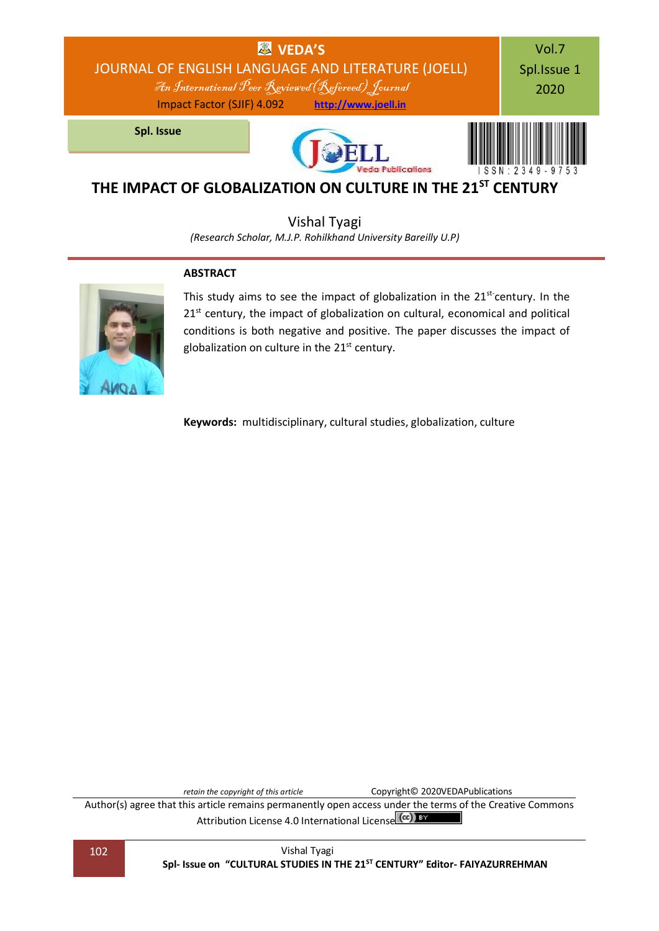

# **THE IMPACT OF GLOBALIZATION ON CULTURE IN THE 21ST CENTURY**

Vishal Tyagi

*(Research Scholar, M.J.P. Rohilkhand University Bareilly U.P)*

#### **ABSTRACT**



This study aims to see the impact of globalization in the  $21<sup>st</sup>$  century. In the  $21<sup>st</sup>$  century, the impact of globalization on cultural, economical and political conditions is both negative and positive. The paper discusses the impact of globalization on culture in the  $21<sup>st</sup>$  century.

**Keywords:** multidisciplinary, cultural studies, globalization, culture

*retain the copyright of this article* Copyright© 2020VEDAPublications

Author(s) agree that this article remains permanently open access under the terms of the Creative Commons Attribution Lic[e](http://creativecommons.org/licenses/by/4.0/)nse 4.0 International License (CC) BY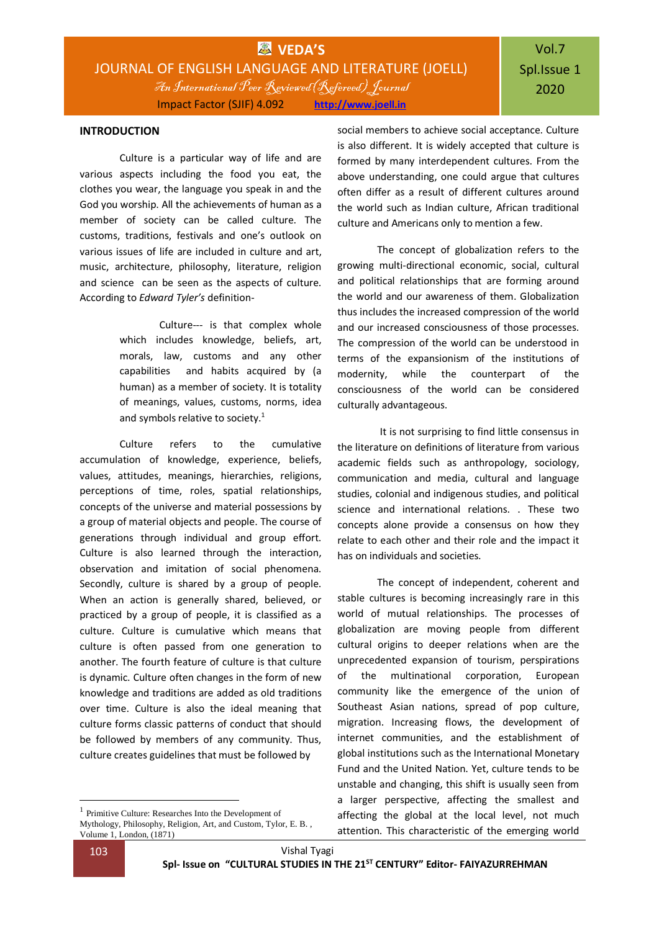#### **INTRODUCTION**

Culture is a particular way of life and are various aspects including the food you eat, the clothes you wear, the language you speak in and the God you worship. All the achievements of human as a member of society can be called culture. The customs, traditions, festivals and one's outlook on various issues of life are included in culture and art, music, architecture, philosophy, literature, religion and science can be seen as the aspects of culture. According to *Edward Tyler's* definition-

> Culture--- is that complex whole which includes knowledge, beliefs, art, morals, law, customs and any other capabilities and habits acquired by (a human) as a member of society. It is totality of meanings, values, customs, norms, idea and symbols relative to society.<sup>1</sup>

Culture refers to the cumulative accumulation of knowledge, experience, beliefs, values, attitudes, meanings, hierarchies, religions, perceptions of time, roles, spatial relationships, concepts of the universe and material possessions by a group of material objects and people. The course of generations through individual and group effort. Culture is also learned through the interaction, observation and imitation of social phenomena. Secondly, culture is shared by a group of people. When an action is generally shared, believed, or practiced by a group of people, it is classified as a culture. Culture is cumulative which means that culture is often passed from one generation to another. The fourth feature of culture is that culture is dynamic. Culture often changes in the form of new knowledge and traditions are added as old traditions over time. Culture is also the ideal meaning that culture forms classic patterns of conduct that should be followed by members of any community. Thus, culture creates guidelines that must be followed by

social members to achieve social acceptance. Culture is also different. It is widely accepted that culture is formed by many interdependent cultures. From the above understanding, one could argue that cultures often differ as a result of different cultures around the world such as Indian culture, African traditional culture and Americans only to mention a few.

The concept of globalization refers to the growing multi-directional economic, social, cultural and political relationships that are forming around the world and our awareness of them. Globalization thus includes the increased compression of the world and our increased consciousness of those processes. The compression of the world can be understood in terms of the expansionism of the institutions of modernity, while the counterpart of the consciousness of the world can be considered culturally advantageous.

It is not surprising to find little consensus in the literature on definitions of literature from various academic fields such as anthropology, sociology, communication and media, cultural and language studies, colonial and indigenous studies, and political science and international relations. . These two concepts alone provide a consensus on how they relate to each other and their role and the impact it has on individuals and societies.

The concept of independent, coherent and stable cultures is becoming increasingly rare in this world of mutual relationships. The processes of globalization are moving people from different cultural origins to deeper relations when are the unprecedented expansion of tourism, perspirations of the multinational corporation, European community like the emergence of the union of Southeast Asian nations, spread of pop culture, migration. Increasing flows, the development of internet communities, and the establishment of global institutions such as the International Monetary Fund and the United Nation. Yet, culture tends to be unstable and changing, this shift is usually seen from a larger perspective, affecting the smallest and affecting the global at the local level, not much attention. This characteristic of the emerging world

1

<sup>1</sup> [Primitive Culture: Researches Into the Development of](https://carta.anthropogeny.org/libraries/bibliography/primitive-culture-researches-development-mythology-philosophy-religion-art)  [Mythology, Philosophy, Religion, Art, and Custom,](https://carta.anthropogeny.org/libraries/bibliography/primitive-culture-researches-development-mythology-philosophy-religion-art) Tylor, E. B. , Volume 1, London, (1871)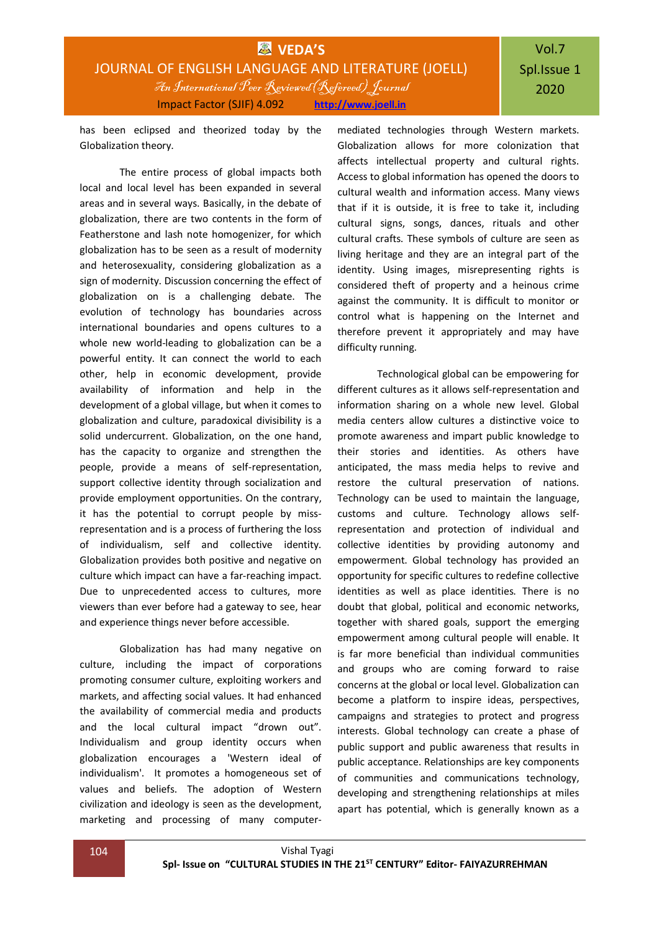# Vol.7 Spl.Issue 1 2020

has been eclipsed and theorized today by the Globalization theory.

The entire process of global impacts both local and local level has been expanded in several areas and in several ways. Basically, in the debate of globalization, there are two contents in the form of Featherstone and lash note homogenizer, for which globalization has to be seen as a result of modernity and heterosexuality, considering globalization as a sign of modernity. Discussion concerning the effect of globalization on is a challenging debate. The evolution of technology has boundaries across international boundaries and opens cultures to a whole new world-leading to globalization can be a powerful entity. It can connect the world to each other, help in economic development, provide availability of information and help in the development of a global village, but when it comes to globalization and culture, paradoxical divisibility is a solid undercurrent. Globalization, on the one hand, has the capacity to organize and strengthen the people, provide a means of self-representation, support collective identity through socialization and provide employment opportunities. On the contrary, it has the potential to corrupt people by missrepresentation and is a process of furthering the loss of individualism, self and collective identity. Globalization provides both positive and negative on culture which impact can have a far-reaching impact. Due to unprecedented access to cultures, more viewers than ever before had a gateway to see, hear and experience things never before accessible.

Globalization has had many negative on culture, including the impact of corporations promoting consumer culture, exploiting workers and markets, and affecting social values. It had enhanced the availability of commercial media and products and the local cultural impact "drown out". Individualism and group identity occurs when globalization encourages a 'Western ideal of individualism'. It promotes a homogeneous set of values and beliefs. The adoption of Western civilization and ideology is seen as the development, marketing and processing of many computer-

mediated technologies through Western markets. Globalization allows for more colonization that affects intellectual property and cultural rights. Access to global information has opened the doors to cultural wealth and information access. Many views that if it is outside, it is free to take it, including cultural signs, songs, dances, rituals and other cultural crafts. These symbols of culture are seen as living heritage and they are an integral part of the identity. Using images, misrepresenting rights is considered theft of property and a heinous crime against the community. It is difficult to monitor or control what is happening on the Internet and therefore prevent it appropriately and may have difficulty running.

Technological global can be empowering for different cultures as it allows self-representation and information sharing on a whole new level. Global media centers allow cultures a distinctive voice to promote awareness and impart public knowledge to their stories and identities. As others have anticipated, the mass media helps to revive and restore the cultural preservation of nations. Technology can be used to maintain the language, customs and culture. Technology allows selfrepresentation and protection of individual and collective identities by providing autonomy and empowerment. Global technology has provided an opportunity for specific cultures to redefine collective identities as well as place identities. There is no doubt that global, political and economic networks, together with shared goals, support the emerging empowerment among cultural people will enable. It is far more beneficial than individual communities and groups who are coming forward to raise concerns at the global or local level. Globalization can become a platform to inspire ideas, perspectives, campaigns and strategies to protect and progress interests. Global technology can create a phase of public support and public awareness that results in public acceptance. Relationships are key components of communities and communications technology, developing and strengthening relationships at miles apart has potential, which is generally known as a